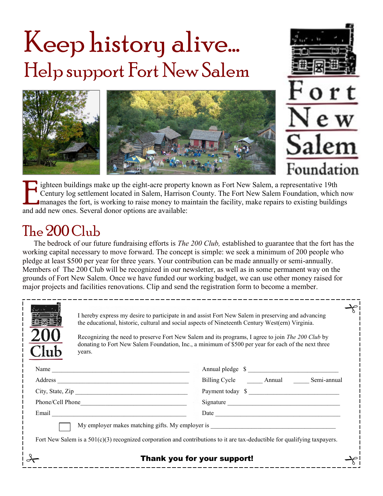# Keep history alive... Help support Fort New Salem





E ighteen buildings make up the eight-acre property<br>Century log settlement located in Salem, Harrison<br>manages the fort, is working to raise money to m<br>and add new ones. Several donor options are available: ighteen buildings make up the eight-acre property known as Fort New Salem, a representative 19th Century log settlement located in Salem, Harrison County. The Fort New Salem Foundation, which now manages the fort, is working to raise money to maintain the facility, make repairs to existing buildings

# The 200 Club

The bedrock of our future fundraising efforts is *The 200 Club,* established to guarantee that the fort has the working capital necessary to move forward. The concept is simple: we seek a minimum of 200 people who pledge at least \$500 per year for three years. Your contribution can be made annually or semi-annually. Members of The 200 Club will be recognized in our newsletter, as well as in some permanent way on the grounds of Fort New Salem. Once we have funded our working budget, we can use other money raised for major projects and facilities renovations. Clip and send the registration form to become a member.

|                                                                                                                                                                                                                  | years. | I hereby express my desire to participate in and assist Fort New Salem in preserving and advancing<br>the educational, historic, cultural and social aspects of Nineteenth Century West(ern) Virginia.<br>Recognizing the need to preserve Fort New Salem and its programs, I agree to join The 200 Club by<br>donating to Fort New Salem Foundation, Inc., a minimum of \$500 per year for each of the next three |  |  |
|------------------------------------------------------------------------------------------------------------------------------------------------------------------------------------------------------------------|--------|--------------------------------------------------------------------------------------------------------------------------------------------------------------------------------------------------------------------------------------------------------------------------------------------------------------------------------------------------------------------------------------------------------------------|--|--|
|                                                                                                                                                                                                                  | Name   | Annual pledge \$                                                                                                                                                                                                                                                                                                                                                                                                   |  |  |
|                                                                                                                                                                                                                  |        | Billing Cycle Annual Semi-annual                                                                                                                                                                                                                                                                                                                                                                                   |  |  |
|                                                                                                                                                                                                                  |        | Payment today \$                                                                                                                                                                                                                                                                                                                                                                                                   |  |  |
|                                                                                                                                                                                                                  |        | Signature                                                                                                                                                                                                                                                                                                                                                                                                          |  |  |
|                                                                                                                                                                                                                  |        |                                                                                                                                                                                                                                                                                                                                                                                                                    |  |  |
| My employer makes matching gifts. My employer is ________________________________<br>Fort New Salem is a $501(c)(3)$ recognized corporation and contributions to it are tax-deductible for qualifying taxpayers. |        |                                                                                                                                                                                                                                                                                                                                                                                                                    |  |  |
| Thank you for your support!                                                                                                                                                                                      |        |                                                                                                                                                                                                                                                                                                                                                                                                                    |  |  |